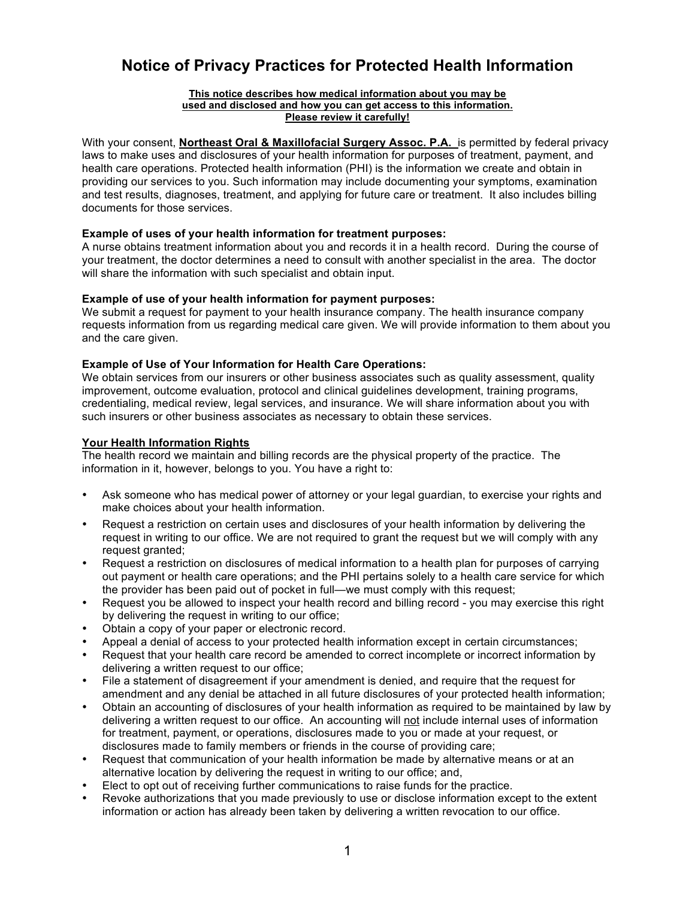# **Notice of Privacy Practices for Protected Health Information**

#### **This notice describes how medical information about you may be used and disclosed and how you can get access to this information. Please review it carefully!**

With your consent, **Northeast Oral & Maxillofacial Surgery Assoc. P.A.** is permitted by federal privacy laws to make uses and disclosures of your health information for purposes of treatment, payment, and health care operations. Protected health information (PHI) is the information we create and obtain in providing our services to you. Such information may include documenting your symptoms, examination and test results, diagnoses, treatment, and applying for future care or treatment. It also includes billing documents for those services.

# **Example of uses of your health information for treatment purposes:**

A nurse obtains treatment information about you and records it in a health record. During the course of your treatment, the doctor determines a need to consult with another specialist in the area. The doctor will share the information with such specialist and obtain input.

## **Example of use of your health information for payment purposes:**

We submit a request for payment to your health insurance company. The health insurance company requests information from us regarding medical care given. We will provide information to them about you and the care given.

# **Example of Use of Your Information for Health Care Operations:**

We obtain services from our insurers or other business associates such as quality assessment, quality improvement, outcome evaluation, protocol and clinical guidelines development, training programs, credentialing, medical review, legal services, and insurance. We will share information about you with such insurers or other business associates as necessary to obtain these services.

# **Your Health Information Rights**

The health record we maintain and billing records are the physical property of the practice. The information in it, however, belongs to you. You have a right to:

- Ask someone who has medical power of attorney or your legal guardian, to exercise your rights and make choices about your health information.
- Request a restriction on certain uses and disclosures of your health information by delivering the request in writing to our office. We are not required to grant the request but we will comply with any request granted;
- Request a restriction on disclosures of medical information to a health plan for purposes of carrying out payment or health care operations; and the PHI pertains solely to a health care service for which the provider has been paid out of pocket in full—we must comply with this request;
- Request you be allowed to inspect your health record and billing record you may exercise this right by delivering the request in writing to our office;
- Obtain a copy of your paper or electronic record.
- Appeal a denial of access to your protected health information except in certain circumstances;
- Request that your health care record be amended to correct incomplete or incorrect information by delivering a written request to our office;
- File a statement of disagreement if your amendment is denied, and require that the request for amendment and any denial be attached in all future disclosures of your protected health information;
- Obtain an accounting of disclosures of your health information as required to be maintained by law by delivering a written request to our office. An accounting will not include internal uses of information for treatment, payment, or operations, disclosures made to you or made at your request, or disclosures made to family members or friends in the course of providing care;
- Request that communication of your health information be made by alternative means or at an alternative location by delivering the request in writing to our office; and,
- Elect to opt out of receiving further communications to raise funds for the practice.
- Revoke authorizations that you made previously to use or disclose information except to the extent information or action has already been taken by delivering a written revocation to our office.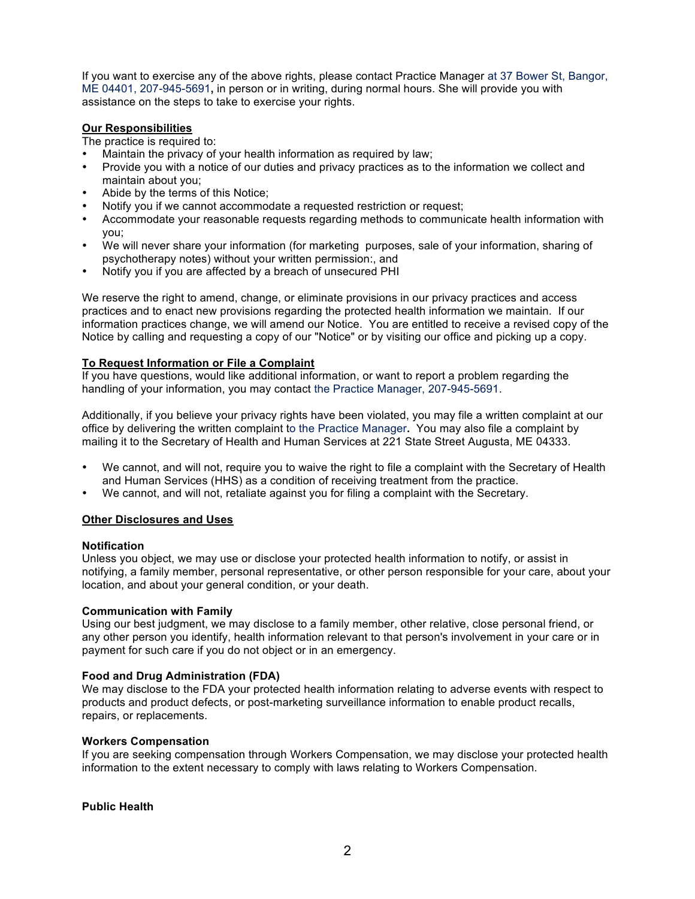If you want to exercise any of the above rights, please contact Practice Manager at 37 Bower St, Bangor, ME 04401, 207-945-5691**,** in person or in writing, during normal hours. She will provide you with assistance on the steps to take to exercise your rights.

## **Our Responsibilities**

The practice is required to:

- Maintain the privacy of your health information as required by law;
- Provide you with a notice of our duties and privacy practices as to the information we collect and maintain about you;
- Abide by the terms of this Notice;
- Notify you if we cannot accommodate a requested restriction or request;
- Accommodate your reasonable requests regarding methods to communicate health information with you;
- We will never share your information (for marketing purposes, sale of your information, sharing of psychotherapy notes) without your written permission:, and
- Notify you if you are affected by a breach of unsecured PHI

We reserve the right to amend, change, or eliminate provisions in our privacy practices and access practices and to enact new provisions regarding the protected health information we maintain. If our information practices change, we will amend our Notice. You are entitled to receive a revised copy of the Notice by calling and requesting a copy of our "Notice" or by visiting our office and picking up a copy.

# **To Request Information or File a Complaint**

If you have questions, would like additional information, or want to report a problem regarding the handling of your information, you may contact the Practice Manager, 207-945-5691.

Additionally, if you believe your privacy rights have been violated, you may file a written complaint at our office by delivering the written complaint to the Practice Manager**.** You may also file a complaint by mailing it to the Secretary of Health and Human Services at 221 State Street Augusta, ME 04333.

- We cannot, and will not, require you to waive the right to file a complaint with the Secretary of Health and Human Services (HHS) as a condition of receiving treatment from the practice.
- We cannot, and will not, retaliate against you for filing a complaint with the Secretary.

## **Other Disclosures and Uses**

## **Notification**

Unless you object, we may use or disclose your protected health information to notify, or assist in notifying, a family member, personal representative, or other person responsible for your care, about your location, and about your general condition, or your death.

## **Communication with Family**

Using our best judgment, we may disclose to a family member, other relative, close personal friend, or any other person you identify, health information relevant to that person's involvement in your care or in payment for such care if you do not object or in an emergency.

## **Food and Drug Administration (FDA)**

We may disclose to the FDA your protected health information relating to adverse events with respect to products and product defects, or post-marketing surveillance information to enable product recalls, repairs, or replacements.

## **Workers Compensation**

If you are seeking compensation through Workers Compensation, we may disclose your protected health information to the extent necessary to comply with laws relating to Workers Compensation.

## **Public Health**